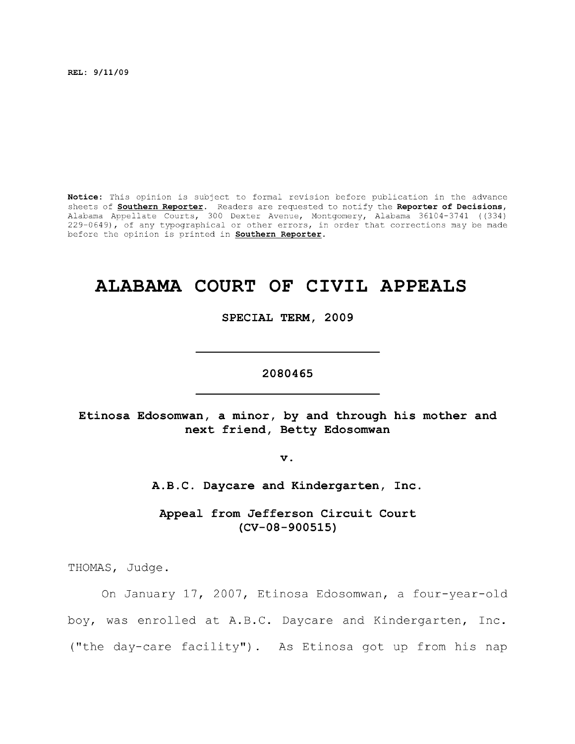**REL: 9/11/09** 

**Notice:** This opinion is subject to formal revision before publication in the advance sheets of **Southern Reporter.** Readers are requested to notify the **Reporter of Decisions,**  Alabama Appellate Courts, 300 Dexter Avenue, Montgomery, Alabama 36104-3741 ((334) 229-0649), of any typographical or other errors, in order that corrections may be made before the opinion is printed in **Southern Reporter.** 

# **ALABAMA COURT OF CIVIL APPEALS**

**SPECIAL TERM, 2009** 

**2080465** 

**Etinosa Edosomwan, a minor, by and through his mother and next friend, Betty Edosomwan** 

**V .** 

**A.B.C. Daycare and Kindergarten, Inc,** 

**Appeal from Jefferson Circuit Court (CV-08-900515)** 

THOMAS, Judge.

On January 17, 2007, Etinosa Edosomwan, a four-year-old boy, was enrolled at A.B.C. Daycare and Kindergarten, Inc. ("the day-care facility") . As Etinosa got up from his nap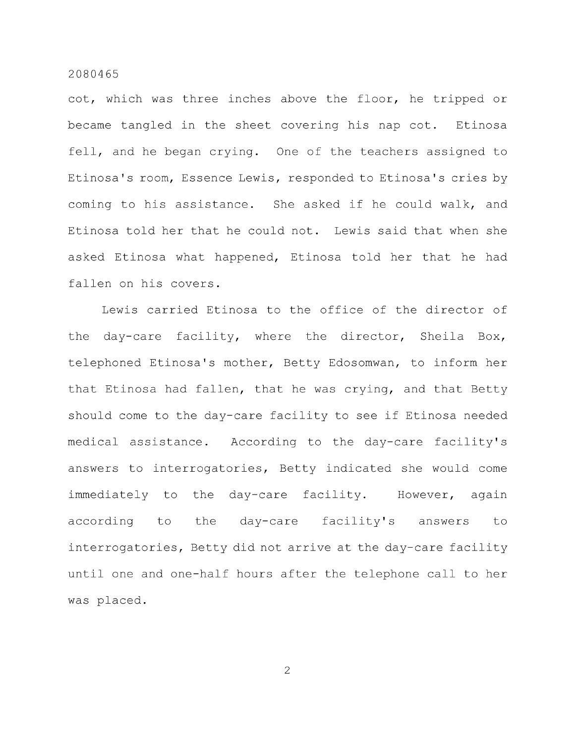cot, which was three inches above the floor, he tripped or became tangled in the sheet covering his nap cot. Etinosa fell, and he began crying. One of the teachers assigned to Etinosa's room, Essence Lewis, responded to Etinosa's cries by coming to his assistance. She asked if he could walk, and Etinosa told her that he could not. Lewis said that when she asked Etinosa what happened, Etinosa told her that he had fallen on his covers.

Lewis carried Etinosa to the office of the director of the day-care facility, where the director. Sheila Box, telephoned Etinosa's mother, Betty Edosomwan, to inform her that Etinosa had fallen, that he was crying, and that Betty should come to the day-care facility to see if Etinosa needed medical assistance. According to the day-care facility's answers to interrogatories, Betty indicated she would come immediately to the day-care facility. However, again according to the day-care facility's answers to interrogatories, Betty did not arrive at the day-care facility until one and one-half hours after the telephone call to her was placed.

 $\overline{2}$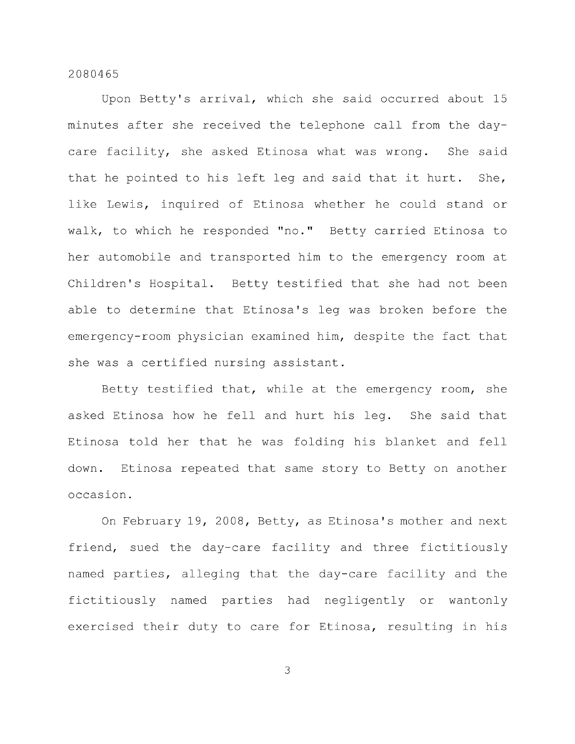Upon Betty's arrival, which she said occurred about 15 minutes after she received the telephone call from the daycare facility, she asked Etinosa what was wrong. She said that he pointed to his left leg and said that it hurt. She, like Lewis, inquired of Etinosa whether he could stand or walk, to which he responded "no." Betty carried Etinosa to her automobile and transported him to the emergency room at Children's Hospital. Betty testified that she had not been able to determine that Etinosa's leg was broken before the emergency-room physician examined him, despite the fact that she was a certified nursing assistant.

Betty testified that, while at the emergency room, she asked Etinosa how he fell and hurt his leg. She said that Etinosa told her that he was folding his blanket and fell down. Etinosa repeated that same story to Betty on another occasion.

On February 19, 2008, Betty, as Etinosa's mother and next friend, sued the day-care facility and three fictitiously named parties, alleging that the day-care facility and the fictitiously named parties had negligently or wantonly exercised their duty to care for Etinosa, resulting in his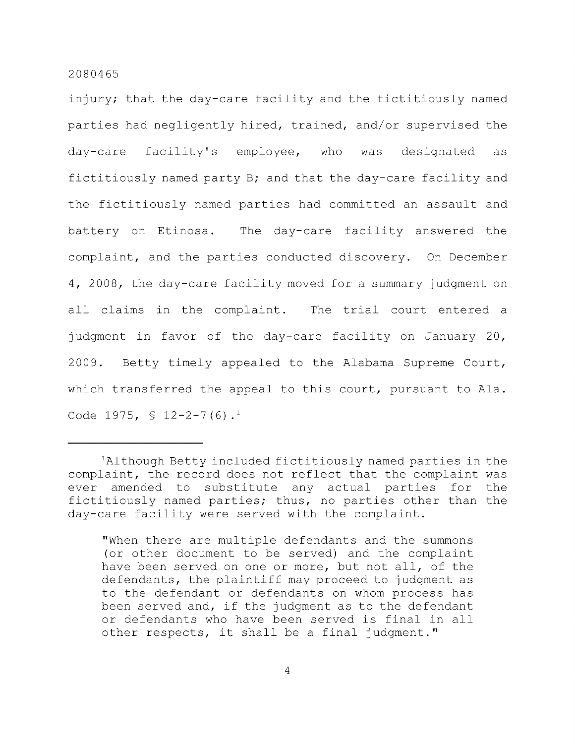injury; that the day-care facility and the fictitiously named parties had negligently hired, trained, and/or supervised the day-care facility's employee, who was designated as fictitiously named party B; and that the day-care facility and the fictitiously named parties had committed an assault and battery on Etinosa. The day-care facility answered the complaint, and the parties conducted discovery. On December 4, 2008, the day-care facility moved for a summary judgment on all claims in the complaint. The trial court entered a judgment in favor of the day-care facility on January 20, 2009. Betty timely appealed to the Alabama Supreme Court, which transferred the appeal to this court, pursuant to Ala. Code 1975,  $\frac{12-2-7(6)}{1}$ .

"When there are multiple defendants and the summons (or other document to be served) and the complaint have been served on one or more, but not all, of the defendants, the plaintiff may proceed to judgment as to the defendant or defendants on whom process has been served and, if the judgment as to the defendant or defendants who have been served is final in all other respects, it shall be a final judgment."

 $A$ lthough Betty included fictitiously named parties in the complaint, the record does not reflect that the complaint was ever amended to substitute any actual parties for the fictitiously named parties; thus, no parties other than the day-care facility were served with the complaint.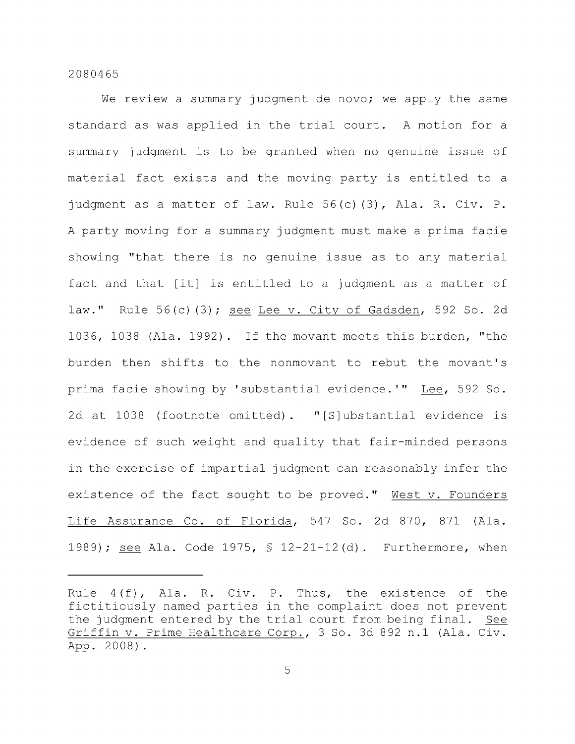We review a summary judgment de novo; we apply the same standard as was applied in the trial court. A motion for a summary judgment is to be granted when no genuine issue of material fact exists and the moving party is entitled to a judgment as a matter of law. Rule 56(c)(3), Ala. R. Civ. P. A party moving for a summary judgment must make a prima facie showing "that there is no genuine issue as to any material fact and that [it] is entitled to a judgment as a matter of law." Rule  $56(c)$  (3); see Lee v. City of Gadsden, 592 So. 2d 1036, 1038 (Ala. 1992) . If the movant meets this burden, "the burden then shifts to the nonmovant to rebut the movant's prima facie showing by 'substantial evidence.'" Lee, 592 So. 2d at 1038 (footnote omitted). "[S]ubstantial evidence is evidence of such weight and quality that fair-minded persons in the exercise of impartial judgment can reasonably infer the existence of the fact sought to be proved." West v. Founders Life Assurance Co. of Florida, 547 So. 2d 870, 871 (Ala. 1989); see Ala. Code 1975, § 12-21-12(d). Furthermore, when

Rule 4(f), Ala. R. Civ. P. Thus, the existence of the fictitiously named parties in the complaint does not prevent the judgment entered by the trial court from being final. See Griffin v. Prime Healthcare Corp., 3 So. 3d 892 n.l (Ala. Civ. App. 2008).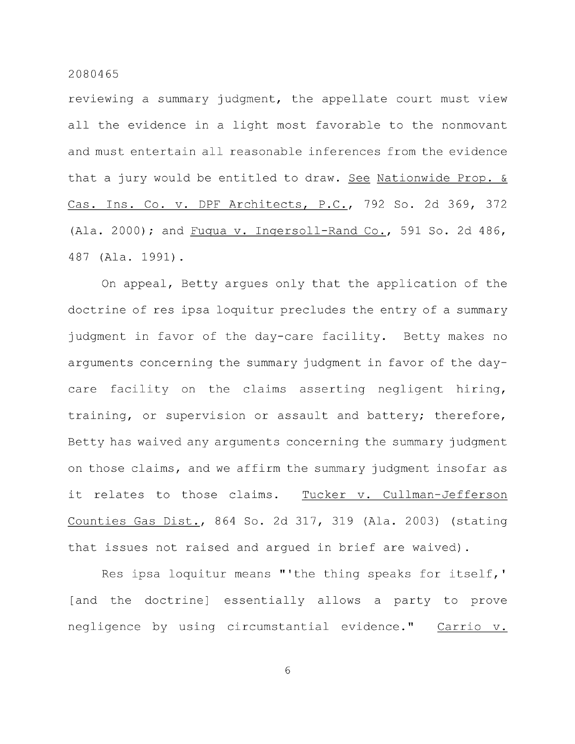reviewing a summary judgment, the appellate court must view all the evidence in a light most favorable to the nonmovant and must entertain all reasonable inferences from the evidence that a jury would be entitled to draw. See Nationwide Prop. & Cas. Ins. Co. v. DPF Architects, P.C, 792 So. 2d 369, 372 (Ala. 2000); and Fuqua v. Ingersoll-Rand Co., 591 So. 2d 486, 487 (Ala. 1991) .

On appeal, Betty argues only that the application of the doctrine of res ipsa loquitur precludes the entry of a summary judgment in favor of the day-care facility. Betty makes no arguments concerning the summary judgment in favor of the daycare facility on the claims asserting negligent hiring, training, or supervision or assault and battery; therefore, Betty has waived any arguments concerning the summary judgment on those claims, and we affirm the summary judgment insofar as it relates to those claims. Tucker v. Cullman-Jefferson Counties Gas Dist., 864 So. 2d 317, 319 (Ala. 2003) (stating that issues not raised and argued in brief are waived).

Res ipsa loquitur means "'the thing speaks for itself,' [and the doctrine] essentially allows a party to prove negligence by using circumstantial evidence." Carrio v.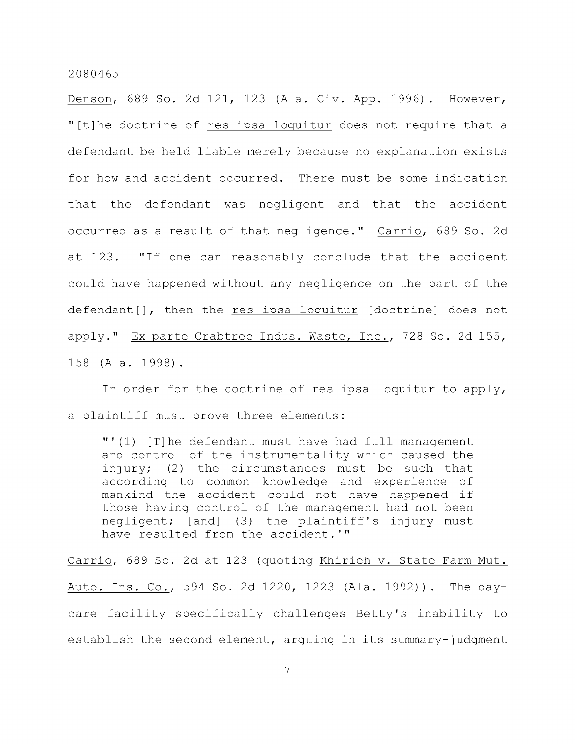Denson, 689 So. 2d 121, 123 (Ala. Civ. App. 1996) . However, "[t]he doctrine of res ipsa loquitur does not require that a defendant be held liable merely because no explanation exists for how and accident occurred. There must be some indication that the defendant was negligent and that the accident occurred as a result of that negligence." Carrio, 689 So. 2d at 123. "If one can reasonably conclude that the accident could have happened without any negligence on the part of the defendant [], then the res ipsa loquitur [doctrine] does not apply." Ex parte Crabtree Indus. Waste, Inc., 728 So. 2d 155, 158 (Ala. 1998) .

In order for the doctrine of res ipsa loquitur to apply, a plaintiff must prove three elements:

"'(1) [T]he defendant must have had full management and control of the instrumentality which caused the injury; (2) the circumstances must be such that according to common knowledge and experience of mankind the accident could not have happened if those having control of the management had not been negligent; [and] (3) the plaintiff's injury must have resulted from the accident.'"

Carrio, 689 So. 2d at 123 (quoting Khirieh v. State Farm Mut. Auto. Ins. Co., 594 So. 2d 1220, 1223 (Ala. 1992)). The daycare facility specifically challenges Betty's inability to establish the second element, arguing in its summary-judgment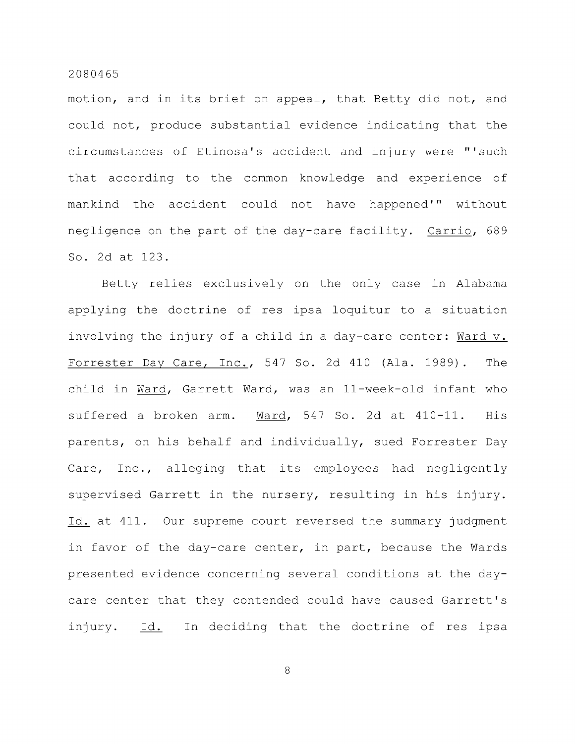motion, and in its brief on appeal, that Betty did not, and could not, produce substantial evidence indicating that the circumstances of Etinosa's accident and injury were "'such that according to the common knowledge and experience of mankind the accident could not have happened'" without negligence on the part of the day-care facility. Carrio, 689 So. 2d at 123.

Betty relies exclusively on the only case in Alabama applying the doctrine of res ipsa loquitur to a situation involving the injury of a child in a day-care center: Ward v. Forrester Day Care, Inc., 547 So. 2d 410 (Ala. 1989) . The child in Ward, Garrett Ward, was an 11-week-old infant who suffered a broken arm. Ward, 547 So. 2d at 410-11. His parents, on his behalf and individually, sued Forrester Day Care, Inc., alleging that its employees had negligently supervised Garrett in the nursery, resulting in his injury. Id. at 411. Our supreme court reversed the summary judgment in favor of the day-care center, in part, because the Wards presented evidence concerning several conditions at the daycare center that they contended could have caused Garrett's injury. Id. In deciding that the doctrine of res ipsa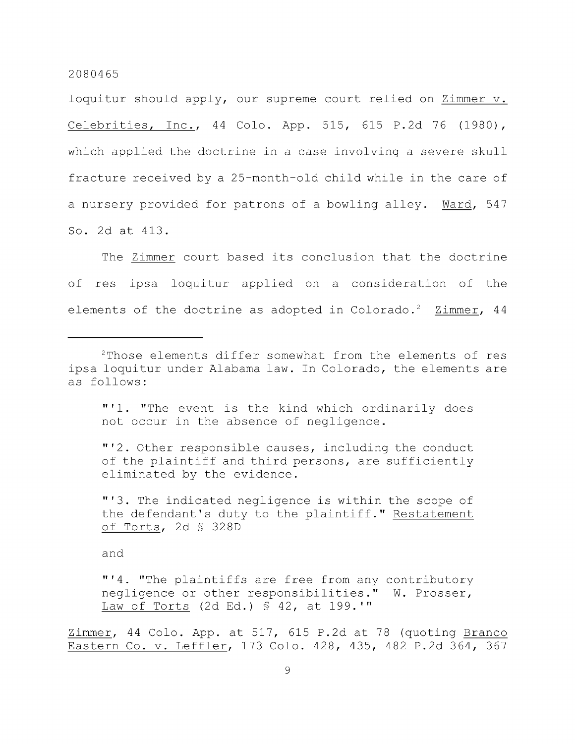loquitur should apply, our supreme court relied on Zimmer v. Celebrities, Inc., 44 Colo. App. 515, 615 P.2d 76 (1980), which applied the doctrine in a case involving a severe skull fracture received by a 25-month-old child while in the care of a nursery provided for patrons of a bowling alley. Ward, 547 So. 2d at 413.

The Zimmer court based its conclusion that the doctrine of res ipsa loquitur applied on a consideration of the elements of the doctrine as adopted in Colorado.<sup>2</sup> Zimmer, 44

"'1. "The event is the kind which ordinarily does not occur in the absence of negligence.

"'2. Other responsible causes, including the conduct of the plaintiff and third persons, are sufficiently eliminated by the evidence.

"'3. The indicated negligence is within the scope of the defendant's duty to the plaintiff." Restatement of Torts, 2d § 328D

and

"'4. "The plaintiffs are free from any contributory negligence or other responsibilities." W. Prosser, Law of Torts (2d Ed.) § 42, at 199.'"

Zimmer, 44 Colo. App. at 517, 615 P.2d at 78 (quoting Branco Eastern Co. v. Leffler, 173 Colo. 428, 435, 482 P.2d 364, 367

<sup>&</sup>lt;sup>2</sup>Those elements differ somewhat from the elements of res ipsa loquitur under Alabama law. In Colorado, the elements are as follows: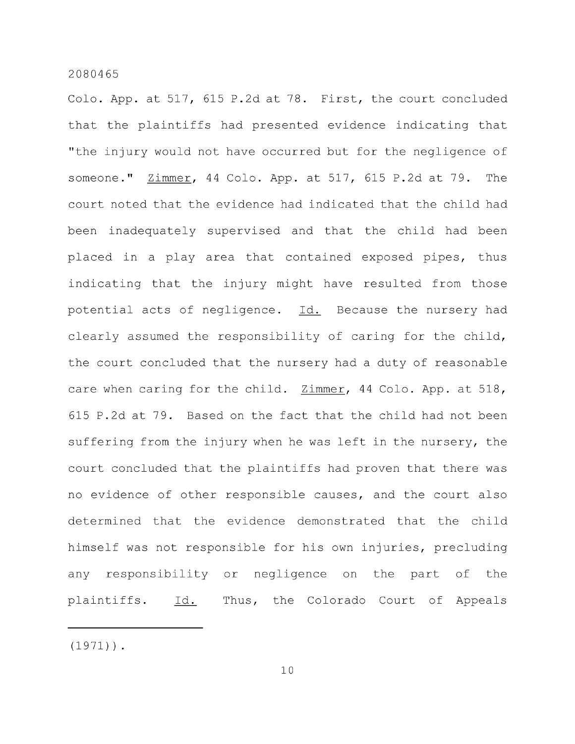Colo. App. at 517, 615 P.2d at 78. First, the court concluded that the plaintiffs had presented evidence indicating that "the injury would not have occurred but for the negligence of someone." Zimmer, 44 Colo. App. at 517, 615 P.2d at 79. The court noted that the evidence had indicated that the child had been inadequately supervised and that the child had been placed in a play area that contained exposed pipes, thus indicating that the injury might have resulted from those potential acts of negligence. Id. Because the nursery had clearly assumed the responsibility of caring for the child, the court concluded that the nursery had a duty of reasonable care when caring for the child. Zimmer, 44 Colo. App. at 518, 615 P.2d at 79. Based on the fact that the child had not been suffering from the injury when he was left in the nursery, the court concluded that the plaintiffs had proven that there was no evidence of other responsible causes, and the court also determined that the evidence demonstrated that the child himself was not responsible for his own injuries, precluding any responsibility or negligence on the part of the plaintiffs. Id. Thus, the Colorado Court of Appeals

 $(1971)$ .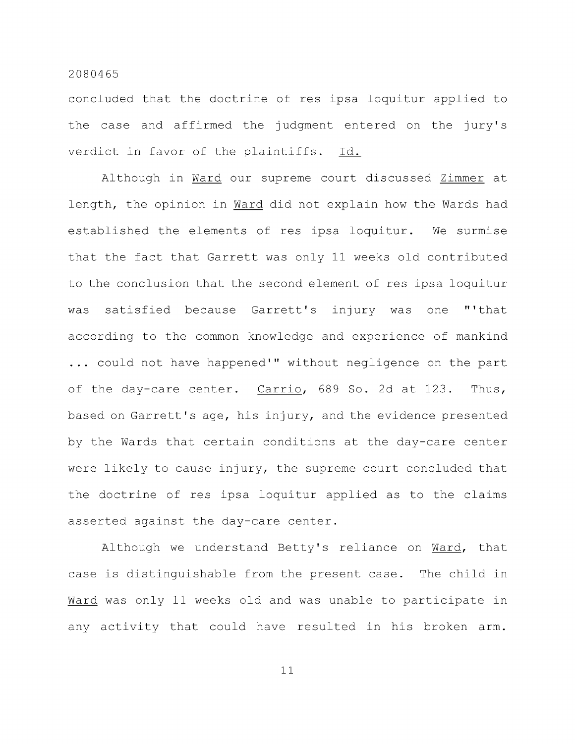concluded that the doctrine of res ipsa loquitur applied to the case and affirmed the judgment entered on the jury's verdict in favor of the plaintiffs. Id.

Although in Ward our supreme court discussed Zimmer at length, the opinion in Ward did not explain how the Wards had established the elements of res ipsa loquitur. We surmise that the fact that Garrett was only 11 weeks old contributed to the conclusion that the second element of res ipsa loquitur was satisfied because Garrett's injury was one "'that according to the common knowledge and experience of mankind ... could not have happened'" without negligence on the part of the day-care center. Carrio, 689 So. 2d at 123. Thus, based on Garrett's age, his injury, and the evidence presented by the Wards that certain conditions at the day-care center were likely to cause injury, the supreme court concluded that the doctrine of res ipsa loquitur applied as to the claims asserted against the day-care center.

Although we understand Betty's reliance on Ward, that case is distinguishable from the present case. The child in Ward was only 11 weeks old and was unable to participate in any activity that could have resulted in his broken arm.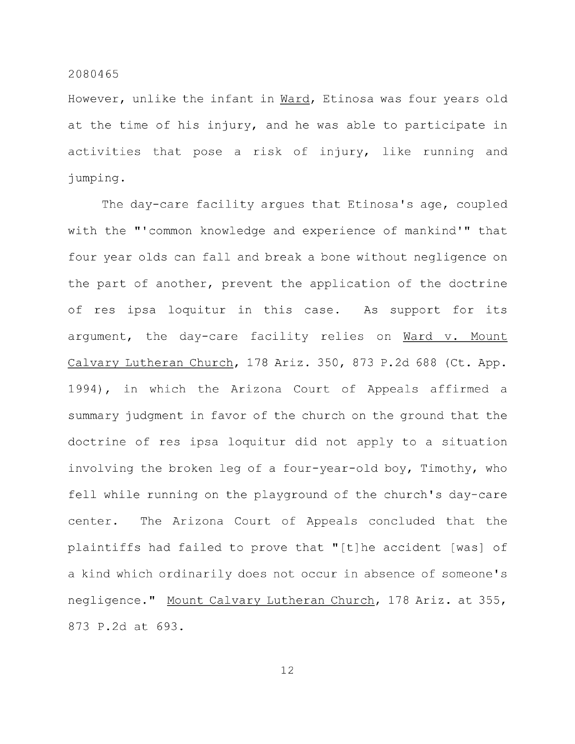However, unlike the infant in Ward, Etinosa was four years old at the time of his injury, and he was able to participate in activities that pose a risk of injury, like running and jumping.

The day-care facility argues that Etinosa's age, coupled with the "'common knowledge and experience of mankind'" that four year olds can fall and break a bone without negligence on the part of another, prevent the application of the doctrine of res ipsa loquitur in this case. As support for its argument, the day-care facility relies on Ward v. Mount Calvary Lutheran Church, 178 Ariz. 350, 873 P.2d 688 (Ct. App. 1994), in which the Arizona Court of Appeals affirmed a summary judgment in favor of the church on the ground that the doctrine of res ipsa loquitur did not apply to a situation involving the broken leg of a four-year-old boy, Timothy, who fell while running on the playground of the church's day-care center. The Arizona Court of Appeals concluded that the plaintiffs had failed to prove that "[t]he accident [was] of a kind which ordinarily does not occur in absence of someone's negligence." Mount Calvary Lutheran Church, 178 Ariz, at 355, 873 P.2d at 693.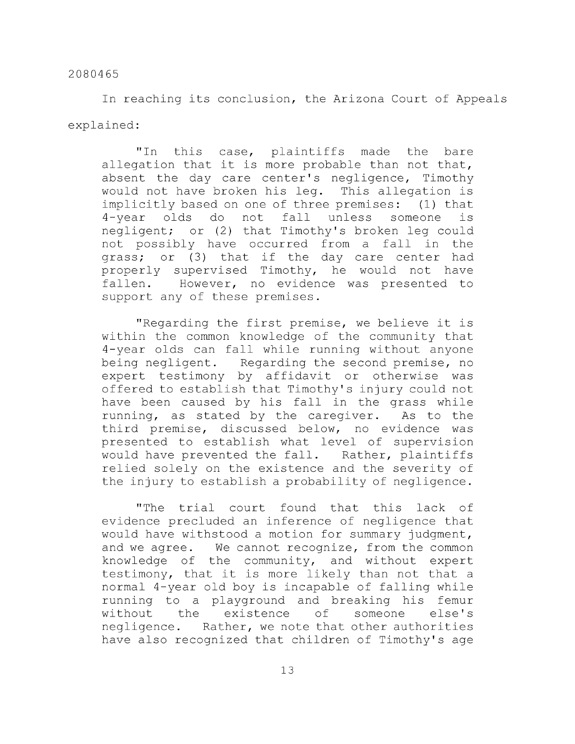In reaching its conclusion, the Arizona Court of Appeals explained:

"In this case, plaintiffs made the bare allegation that it is more probable than not that, absent the day care center's negligence, Timothy would not have broken his leg. This allegation is implicitly based on one of three premises: (1) that 4-year olds do not fall unless someone is negligent; or (2) that Timothy's broken leg could not possibly have occurred from a fall in the grass; or (3) that if the day care center had properly supervised Timothy, he would not have fallen. However, no evidence was presented to support any of these premises.

"Regarding the first premise, we believe it is within the common knowledge of the community that 4-year olds can fall while running without anyone being negligent. Regarding the second premise, no expert testimony by affidavit or otherwise was offered to establish that Timothy's injury could not have been caused by his fall in the grass while running, as stated by the caregiver. As to the third premise, discussed below, no evidence was presented to establish what level of supervision would have prevented the fall. Rather, plaintiffs relied solely on the existence and the severity of the injury to establish a probability of negligence.

"The trial court found that this lack of evidence precluded an inference of negligence that would have withstood a motion for summary judgment, and we agree. We cannot recognize, from the common knowledge of the community, and without expert testimony, that it is more likely than not that a normal 4-year old boy is incapable of falling while running to a playground and breaking his femur without the existence of someone else's negligence. Rather, we note that other authorities have also recognized that children of Timothy's age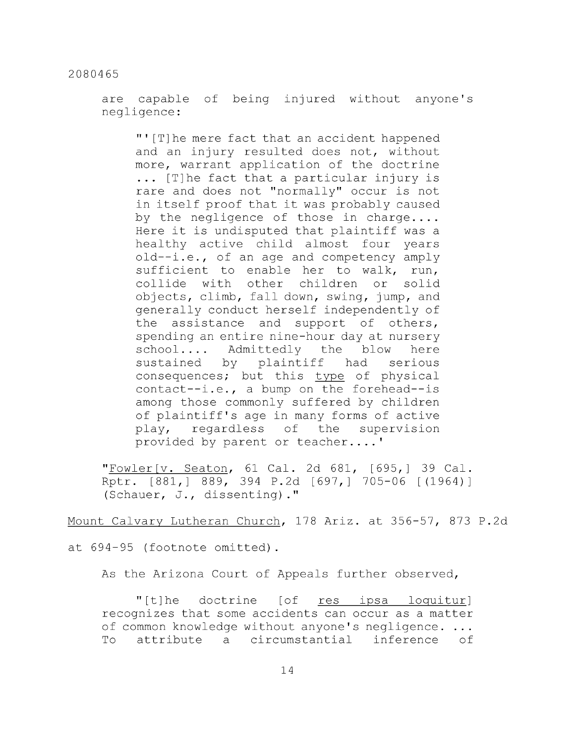are capable of being injured without anyone's negligence:

"'[T]he mere fact that an accident happened and an injury resulted does not, without more, warrant application of the doctrine ... [T]he fact that a particular injury is rare and does not "normally" occur is not in itself proof that it was probably caused by the negligence of those in charge.... Here it is undisputed that plaintiff was a healthy active child almost four years old--i.e., of an age and competency amply sufficient to enable her to walk, run, collide with other children or solid objects, climb, fall down, swing, jump, and generally conduct herself independently of the assistance and support of others, spending an entire nine-hour day at nursery school.... Admittedly the blow here sustained by plaintiff had serious consequences; but this type of physical contact--i.e., a bump on the forehead--is among those commonly suffered by children of plaintiff's age in many forms of active play, regardless of the supervision provided by parent or teacher....'

"Fowler [v. Seaton, 61 Cal. 2d 681, [695,] 39 Cal. Rptr. [881,] 889, 394 P.2d [697,] 705-06 [(1964)] (Schauer, J., dissenting)."

Mount Calvary Lutheran Church, 178 Ariz, at 356-57, 873 P.2d

at 694-95 (footnote omitted).

As the Arizona Court of Appeals further observed,

"[t]he doctrine [of res ipsa loquitur] recognizes that some accidents can occur as a matter of common knowledge without anyone's negligence. ... To attribute a circumstantial inference of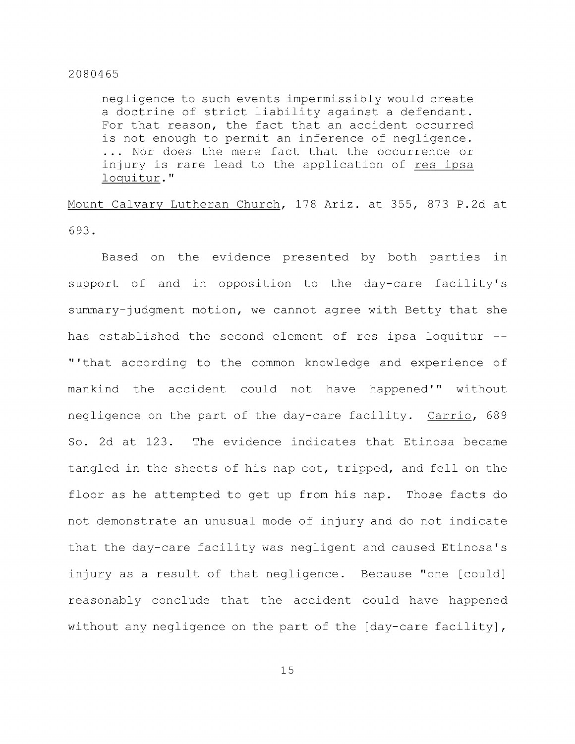negligence to such events impermissibly would create a doctrine of strict liability against a defendant. For that reason, the fact that an accident occurred is not enough to permit an inference of negligence. ... Nor does the mere fact that the occurrence or injury is rare lead to the application of res ipsa loquitur."

Mount Calvary Lutheran Church, 178 Ariz, at 355, 873 P.2d at 693.

Based on the evidence presented by both parties in support of and in opposition to the day-care facility's summary-judgment motion, we cannot agree with Betty that she has established the second element of res ipsa loquitur --"'that according to the common knowledge and experience of mankind the accident could not have happened'" without negligence on the part of the day-care facility. Carrio, 689 So. 2d at 123. The evidence indicates that Etinosa became tangled in the sheets of his nap cot, tripped, and fell on the floor as he attempted to get up from his nap. Those facts do not demonstrate an unusual mode of injury and do not indicate that the day-care facility was negligent and caused Etinosa's injury as a result of that negligence. Because "one [could] reasonably conclude that the accident could have happened without any negligence on the part of the [day-care facility],